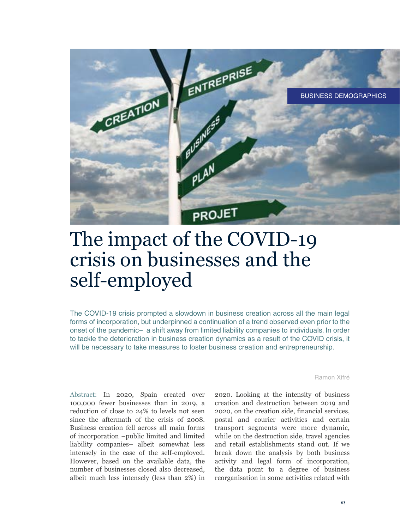

# The impact of the COVID-19 crisis on businesses and the self-employed

The COVID-19 crisis prompted a slowdown in business creation across all the main legal forms of incorporation, but underpinned a continuation of a trend observed even prior to the onset of the pandemic– a shift away from limited liability companies to individuals. In order to tackle the deterioration in business creation dynamics as a result of the COVID crisis, it will be necessary to take measures to foster business creation and entrepreneurship.

Ramon Xifré

Abstract: In 2020, Spain created over 100,000 fewer businesses than in 2019, a reduction of close to 24% to levels not seen since the aftermath of the crisis of 2008. Business creation fell across all main forms of incorporation –public limited and limited liability companies– albeit somewhat less intensely in the case of the self-employed. However, based on the available data, the number of businesses closed also decreased, albeit much less intensely (less than 2%) in

2020. Looking at the intensity of business creation and destruction between 2019 and 2020, on the creation side, financial services, postal and courier activities and certain transport segments were more dynamic, while on the destruction side, travel agencies and retail establishments stand out. If we break down the analysis by both business activity and legal form of incorporation, the data point to a degree of business reorganisation in some activities related with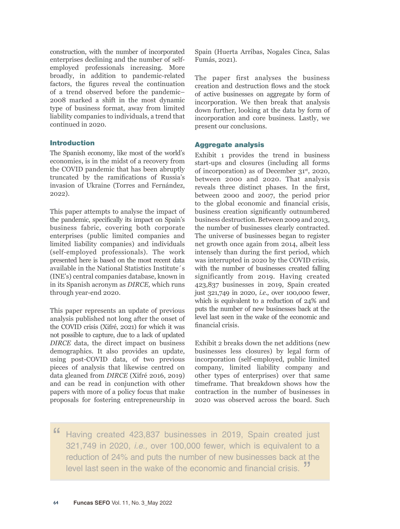construction, with the number of incorporated enterprises declining and the number of selfemployed professionals increasing. More broadly, in addition to pandemic-related factors, the figures reveal the continuation of a trend observed before the pandemic– 2008 marked a shift in the most dynamic type of business format, away from limited liability companies to individuals, a trend that continued in 2020.

## Introduction

The Spanish economy, like most of the world's economies, is in the midst of a recovery from the COVID pandemic that has been abruptly truncated by the ramifications of Russia's invasion of Ukraine (Torres and Fernández, 2022).

This paper attempts to analyse the impact of the pandemic, specifically its impact on Spain's business fabric, covering both corporate enterprises (public limited companies and limited liability companies) and individuals (self-employed professionals). The work presented here is based on the most recent data available in the National Statistics Institute´s (INE's) central companies database, known in in its Spanish acronym as *DIRCE,* which runs through year-end 2020.

This paper represents an update of previous analysis published not long after the onset of the COVID crisis (Xifré, 2021) for which it was not possible to capture, due to a lack of updated *DIRCE* data, the direct impact on business demographics. It also provides an update, using post-COVID data, of two previous pieces of analysis that likewise centred on data gleaned from *DIRCE* (Xifré 2016, 2019) and can be read in conjunction with other papers with more of a policy focus that make proposals for fostering entrepreneurship in Spain (Huerta Arribas, Nogales Cinca, Salas Fumás, 2021).

The paper first analyses the business creation and destruction flows and the stock of active businesses on aggregate by form of incorporation. We then break that analysis down further, looking at the data by form of incorporation and core business. Lastly, we present our conclusions.

## Aggregate analysis

Exhibit 1 provides the trend in business start-ups and closures (including all forms of incorporation) as of December 31st, 2020, between 2000 and 2020. That analysis reveals three distinct phases. In the first, between 2000 and 2007, the period prior to the global economic and financial crisis, business creation significantly outnumbered business destruction. Between 2009 and 2013, the number of businesses clearly contracted. The universe of businesses began to register net growth once again from 2014, albeit less intensely than during the first period, which was interrupted in 2020 by the COVID crisis, with the number of businesses created falling significantly from 2019. Having created 423,837 businesses in 2019, Spain created just 321,749 in 2020, *i.e.,* over 100,000 fewer, which is equivalent to a reduction of 24% and puts the number of new businesses back at the level last seen in the wake of the economic and financial crisis.

Exhibit 2 breaks down the net additions (new businesses less closures) by legal form of incorporation (self-employed, public limited company, limited liability company and other types of enterprises) over that same timeframe. That breakdown shows how the contraction in the number of businesses in 2020 was observed across the board. Such

" Having created 423,837 businesses in 2019, Spain created just 321,749 in 2020, *i.e.,* over 100,000 fewer, which is equivalent to a reduction of 24% and puts the number of new businesses back at the level last seen in the wake of the economic and financial crisis. "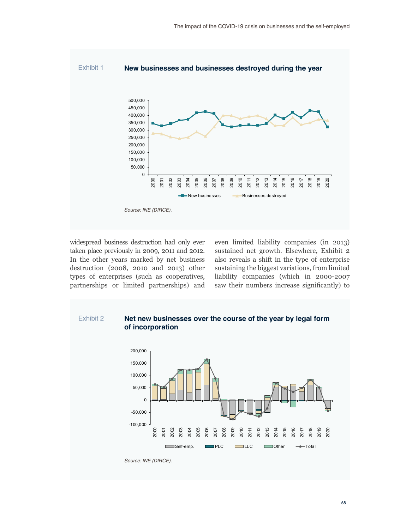

widespread business destruction had only ever taken place previously in 2009, 2011 and 2012. In the other years marked by net business destruction (2008, 2010 and 2013) other types of enterprises (such as cooperatives, partnerships or limited partnerships) and

even limited liability companies (in 2013) sustained net growth. Elsewhere, Exhibit 2 also reveals a shift in the type of enterprise sustaining the biggest variations, from limited liability companies (which in 2000-2007 saw their numbers increase significantly) to

# Exhibit 2 **Net new businesses over the course of the year by legal form of incorporation**



*Source: INE (DIRCE).*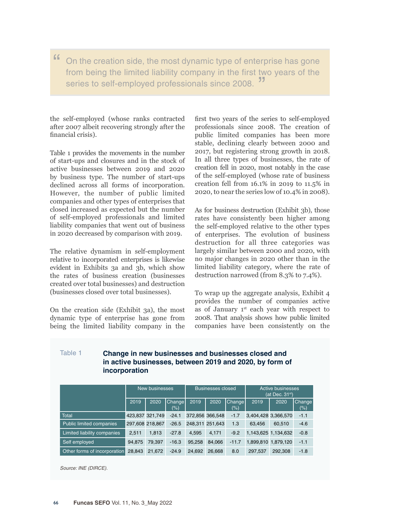" On the creation side, the most dynamic type of enterprise has gone from being the limited liability company in the first two years of the series to self-employed professionals since 2008.

the self-employed (whose ranks contracted after 2007 albeit recovering strongly after the financial crisis).

Table 1 provides the movements in the number of start-ups and closures and in the stock of active businesses between 2019 and 2020 by business type. The number of start-ups declined across all forms of incorporation. However, the number of public limited companies and other types of enterprises that closed increased as expected but the number of self-employed professionals and limited liability companies that went out of business in 2020 decreased by comparison with 2019.

The relative dynamism in self-employment relative to incorporated enterprises is likewise evident in Exhibits 3a and 3b, which show the rates of business creation (businesses created over total businesses) and destruction (businesses closed over total businesses).

On the creation side (Exhibit 3a), the most dynamic type of enterprise has gone from being the limited liability company in the first two years of the series to self-employed professionals since 2008. The creation of public limited companies has been more stable, declining clearly between 2000 and 2017, but registering strong growth in 2018. In all three types of businesses, the rate of creation fell in 2020, most notably in the case of the self-employed (whose rate of business creation fell from 16.1% in 2019 to 11.5% in 2020, to near the series low of 10.4% in 2008).

As for business destruction (Exhibit 3b), those rates have consistently been higher among the self-employed relative to the other types of enterprises. The evolution of business destruction for all three categories was largely similar between 2000 and 2020, with no major changes in 2020 other than in the limited liability category, where the rate of destruction narrowed (from 8.3% to 7.4%).

To wrap up the aggregate analysis, Exhibit 4 provides the number of companies active as of January 1<sup>st</sup> each year with respect to 2008. That analysis shows how public limited companies have been consistently on the

## Table 1 **Change in new businesses and businesses closed and in active businesses, between 2019 and 2020, by form of incorporation**

|                                 | New businesses  |                 |                          |                 | <b>Businesses closed</b> |                          | <b>Active businesses</b><br>(at Dec. 31st) |                     |               |  |
|---------------------------------|-----------------|-----------------|--------------------------|-----------------|--------------------------|--------------------------|--------------------------------------------|---------------------|---------------|--|
|                                 | 2019            | 2020            | <b>Change</b><br>$(\% )$ | 2019            | 2020                     | <b>Change</b><br>$(\% )$ | 2019                                       | 2020                | Change<br>(%) |  |
| Total                           |                 | 423,837 321,749 | $-24.1$                  | 372.856 366.548 |                          | $-1.7$                   | 3,404,428 3,366,570                        |                     | $-1.1$        |  |
| <b>Public limited companies</b> | 297.608 218.867 |                 | $-26.5$                  | 248.311 251.643 |                          | 1.3                      | 63.456                                     | 60.510              | $-4.6$        |  |
| Limited liability companies     | 2.511           | 1.813           | $-27.8$                  | 4,595           | 4.171                    | $-9.2$                   |                                            | 1,143,625 1,134,632 | $-0.8$        |  |
| Self employed                   | 94.875          | 79.397          | $-16.3$                  | 95.258          | 84.066                   | $-11.7$                  |                                            | 1.899.810 1.879.120 | $-1.1$        |  |
| Other forms of incorporation    | 28.843          | 21.672          | $-24.9$                  | 24.692          | 26.668                   | 8.0                      | 297.537                                    | 292.308             | $-1.8$        |  |

*Source: INE (DIRCE).*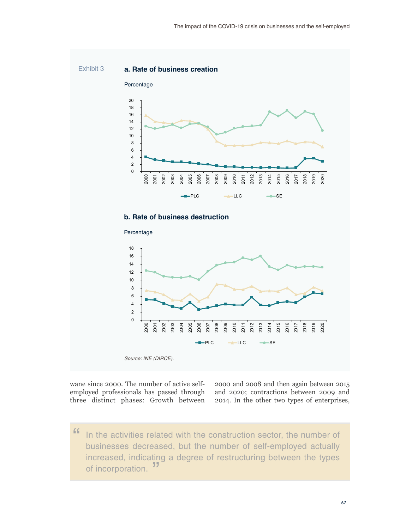

wane since 2000. The number of active selfemployed professionals has passed through three distinct phases: Growth between

2000 and 2008 and then again between 2015 and 2020; contractions between 2009 and 2014. In the other two types of enterprises,

" In the activities related with the construction sector, the number of businesses decreased, but the number of self-employed actually increased, indicating a degree of restructuring between the types of incorporation.<sup>"</sup>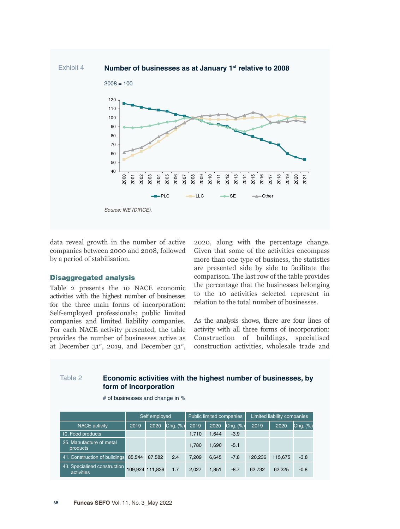

data reveal growth in the number of active companies between 2000 and 2008, followed by a period of stabilisation.

### Disaggregated analysis

Table 2 presents the 10 NACE economic activities with the highest number of businesses for the three main forms of incorporation: Self-employed professionals; public limited companies and limited liability companies. For each NACE activity presented, the table provides the number of businesses active as at December  $31^{st}$ , 2019, and December  $31^{st}$ ,

2020, along with the percentage change. Given that some of the activities encompass more than one type of business, the statistics are presented side by side to facilitate the comparison. The last row of the table provides the percentage that the businesses belonging to the 10 activities selected represent in relation to the total number of businesses.

As the analysis shows, there are four lines of activity with all three forms of incorporation: Construction of buildings, specialised construction activities, wholesale trade and

# Table 2 **Economic activities with the highest number of businesses, by form of incorporation**

|                                            | Self employed   |        |               |       | Public limited companies |               | Limited liability companies |         |          |  |
|--------------------------------------------|-----------------|--------|---------------|-------|--------------------------|---------------|-----------------------------|---------|----------|--|
| <b>NACE activity</b>                       | 2019            | 2020   | $Chg.$ $(\%)$ | 2019  | 2020                     | $Chg.$ $(\%)$ | 2019                        | 2020    | Chg. (%) |  |
| 10. Food products                          |                 |        |               | 1.710 | 1.644                    | $-3.9$        |                             |         |          |  |
| 25. Manufacture of metal<br>products       |                 |        |               | 1.780 | 1.690                    | $-5.1$        |                             |         |          |  |
| 41. Construction of buildings              | 85.544          | 87.582 | 2.4           | 7,209 | 6,645                    | $-7.8$        | 120,236                     | 115,675 | $-3.8$   |  |
| 43. Specialised construction<br>activities | 109.924 111.839 |        | 1.7           | 2.027 | 1.851                    | $-8.7$        | 62,732                      | 62.225  | $-0.8$   |  |

# of businesses and change in %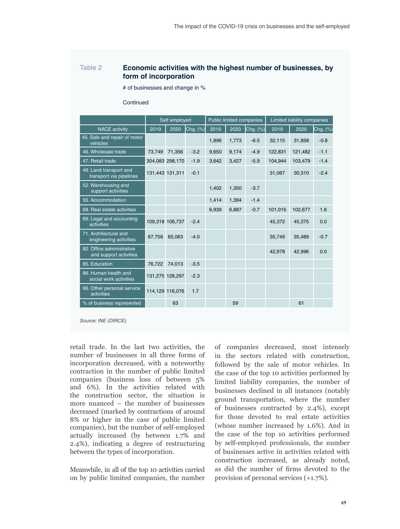## Table 2 **Economic activities with the highest number of businesses, by form of incorporation**

# of businesses and change in %

#### **Continued**

|                                                            | Self employed |                 |          |       | Public limited companies |               | Limited liability companies |         |               |  |
|------------------------------------------------------------|---------------|-----------------|----------|-------|--------------------------|---------------|-----------------------------|---------|---------------|--|
| <b>NACE</b> activity                                       | 2019          | 2020            | Chg. (%) | 2019  | 2020                     | $Chg.$ $(\%)$ | 2019                        | 2020    | $Chg.$ $(\%)$ |  |
| 45. Sale and repair of motor<br>vehicles                   |               |                 |          | 1,896 | 1,773                    | $-6.5$        | 32,115                      | 31,858  | $-0.8$        |  |
| 46. Wholesale trade                                        | 73,749        | 71,356          | $-3.2$   | 9,650 | 9,174                    | $-4.9$        | 122,831                     | 121,482 | $-1.1$        |  |
| 47. Retail trade                                           |               | 304,083 298,170 | $-1.9$   | 3,642 | 3,427                    | $-5.9$        | 104,944                     | 103,479 | $-1.4$        |  |
| 49. Land transport and<br>transport via pipelines          |               | 131,443 131,311 | $-0.1$   |       |                          |               | 31,067                      | 30,310  | $-2.4$        |  |
| 52. Warehousing and<br>support activities                  |               |                 |          | 1,402 | 1,350                    | $-3.7$        |                             |         |               |  |
| 55. Accommodation                                          |               |                 |          | 1,414 | 1,394                    | $-1.4$        |                             |         |               |  |
| 68. Real estate activities                                 |               |                 |          | 6,939 | 6,887                    | $-0.7$        | 101,015                     | 102,677 | 1.6           |  |
| 69. Legal and accounting<br>activities                     |               | 109,318 106,737 | $-2.4$   |       |                          |               | 45,372                      | 45,375  | 0.0           |  |
| 71. Architectural and<br>engineering activities            | 67,756        | 65,063          | $-4.0$   |       |                          |               | 35,749                      | 35,489  | $-0.7$        |  |
| 82. Office administrative<br>and support activities        |               |                 |          |       |                          |               | 42,978                      | 42,996  | 0.0           |  |
| 85. Education                                              | 76.722        | 74,013          | $-3.5$   |       |                          |               |                             |         |               |  |
| 86. Human health and<br>social work activities             |               | 131,275 128,297 | $-2.3$   |       |                          |               |                             |         |               |  |
| 96. Other personal service<br>activities                   |               | 114,129 116,076 | 1.7      |       |                          |               |                             |         |               |  |
| % of business represented                                  |               | 63              |          |       | 59                       |               |                             | 61      |               |  |
| $C_{\text{quasi}}$ $\text{IMF}$ $\text{IMD} \cap \text{F}$ |               |                 |          |       |                          |               |                             |         |               |  |

*Source: INE (DIRCE).*

retail trade. In the last two activities, the number of businesses in all three forms of incorporation decreased, with a noteworthy contraction in the number of public limited companies (business loss of between 5% and 6%). In the activities related with the construction sector, the situation is more nuanced – the number of businesses decreased (marked by contractions of around 8% or higher in the case of public limited companies), but the number of self-employed actually increased (by between 1.7% and 2.4%), indicating a degree of restructuring between the types of incorporation.

Meanwhile, in all of the top 10 activities carried on by public limited companies, the number of companies decreased, most intensely in the sectors related with construction, followed by the sale of motor vehicles. In the case of the top 10 activities performed by limited liability companies, the number of businesses declined in all instances (notably ground transportation, where the number of businesses contracted by 2.4%), except for those devoted to real estate activities (whose number increased by 1.6%). And in the case of the top 10 activities performed by self-employed professionals, the number of businesses active in activities related with construction increased, as already noted, as did the number of firms devoted to the provision of personal services (+1.7%).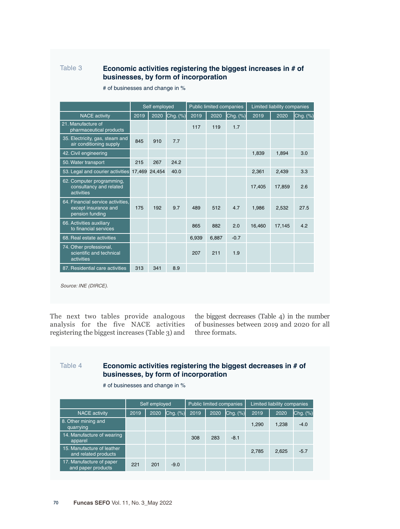# Table 3 **Economic activities registering the biggest increases in # of businesses, by form of incorporation**

|                                                                              | Self employed |               |          |       | <b>Public limited companies</b> |          | <b>Limited liability companies</b> |        |               |  |
|------------------------------------------------------------------------------|---------------|---------------|----------|-------|---------------------------------|----------|------------------------------------|--------|---------------|--|
| <b>NACE</b> activity                                                         | 2019          | 2020          | Chg. (%) | 2019  | 2020                            | Chg. (%) | 2019                               | 2020   | $Chg.$ $(\%)$ |  |
| 21. Manufacture of<br>pharmaceutical products                                |               |               |          | 117   | 119                             | 1.7      |                                    |        |               |  |
| 35. Electricity, gas, steam and<br>air conditioning supply                   | 845           | 910           | 7.7      |       |                                 |          |                                    |        |               |  |
| 42. Civil engineering                                                        |               |               |          |       |                                 |          | 1,839                              | 1,894  | 3.0           |  |
| 50. Water transport                                                          | 215           | 267           | 24.2     |       |                                 |          |                                    |        |               |  |
| 53. Legal and courier activities                                             |               | 17,469 24,454 | 40.0     |       |                                 |          | 2,361                              | 2,439  | 3.3           |  |
| 62. Computer programming,<br>consultancy and related<br>activities           |               |               |          |       |                                 |          | 17,405                             | 17.859 | 2.6           |  |
| 64. Financial service activities.<br>except insurance and<br>pension funding | 175           | 192           | 9.7      | 489   | 512                             | 4.7      | 1.986                              | 2,532  | 27.5          |  |
| 66. Activities auxiliary<br>to financial services                            |               |               |          | 865   | 882                             | 2.0      | 16.460                             | 17.145 | 4.2           |  |
| 68. Real estate activities                                                   |               |               |          | 6.939 | 6.887                           | $-0.7$   |                                    |        |               |  |
| 74. Other professional,<br>scientific and technical<br>activities            |               |               |          | 207   | 211                             | 1.9      |                                    |        |               |  |
| 87. Residential care activities                                              | 313           | 341           | 8.9      |       |                                 |          |                                    |        |               |  |
| Source: INE (DIRCE).                                                         |               |               |          |       |                                 |          |                                    |        |               |  |

# of businesses and change in %

The next two tables provide analogous analysis for the five NACE activities registering the biggest increases (Table 3) and the biggest decreases (Table 4) in the number of businesses between 2019 and 2020 for all three formats.

# Table 4 **Economic activities registering the biggest decreases in # of businesses, by form of incorporation**

| 2019 | 2020 |        | 2019          | 2020                                             |        | 2019                     | 2020          | Chg. (%)                    |
|------|------|--------|---------------|--------------------------------------------------|--------|--------------------------|---------------|-----------------------------|
|      |      |        |               |                                                  |        | 1,290                    | 1,238         | $-4.0$                      |
|      |      |        | 308           | 283                                              | $-8.1$ |                          |               |                             |
|      |      |        |               |                                                  |        | 2,785                    | 2,625         | $-5.7$                      |
| 221  | 201  | $-9.0$ |               |                                                  |        |                          |               |                             |
|      |      |        | Self employed | # of businesses and change in %<br>$Chg.$ $(\%)$ |        | Public limited companies | $ Chg. (\%) $ | Limited liability companies |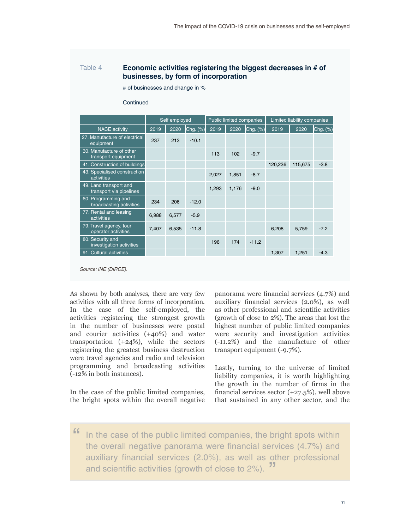## Table 4 **Economic activities registering the biggest decreases in # of businesses, by form of incorporation**

# of businesses and change in %

#### **Continued**

|                                                   | Self employed |       |              |       | <b>Public limited companies</b> |               | Limited liability companies |         |          |  |
|---------------------------------------------------|---------------|-------|--------------|-------|---------------------------------|---------------|-----------------------------|---------|----------|--|
| <b>NACE</b> activity                              | 2019          | 2020  | $Chg.$ $(%)$ | 2019  | 2020                            | $Chg.$ $(\%)$ | 2019                        | 2020    | Chg. (%) |  |
| 27. Manufacture of electrical<br>equipment        | 237           | 213   | $-10.1$      |       |                                 |               |                             |         |          |  |
| 30. Manufacture of other<br>transport equipment   |               |       |              | 113   | 102                             | $-9.7$        |                             |         |          |  |
| 41. Construction of buildings                     |               |       |              |       |                                 |               | 120,236                     | 115,675 | $-3.8$   |  |
| 43. Specialised construction<br>activities        |               |       |              | 2,027 | 1,851                           | $-8.7$        |                             |         |          |  |
| 49. Land transport and<br>transport via pipelines |               |       |              | 1,293 | 1,176                           | $-9.0$        |                             |         |          |  |
| 60. Programming and<br>broadcasting activities    | 234           | 206   | $-12.0$      |       |                                 |               |                             |         |          |  |
| 77. Rental and leasing<br>activities              | 6,988         | 6,577 | $-5.9$       |       |                                 |               |                             |         |          |  |
| 79. Travel agency, tour<br>operator activities    | 7,407         | 6,535 | $-11.8$      |       |                                 |               | 6,208                       | 5,759   | $-7.2$   |  |
| 80. Security and<br>investigation activities      |               |       |              | 196   | 174                             | $-11.2$       |                             |         |          |  |
| 91. Cultural activities                           |               |       |              |       |                                 |               | 1.307                       | 1,251   | $-4.3$   |  |

*Source: INE (DIRCE).*

As shown by both analyses, there are very few activities with all three forms of incorporation. In the case of the self-employed, the activities registering the strongest growth in the number of businesses were postal and courier activities (+40%) and water transportation (+24%), while the sectors registering the greatest business destruction were travel agencies and radio and television programming and broadcasting activities (-12% in both instances).

In the case of the public limited companies, the bright spots within the overall negative panorama were financial services (4.7%) and auxiliary financial services (2.0%), as well as other professional and scientific activities (growth of close to 2%). The areas that lost the highest number of public limited companies were security and investigation activities (-11.2%) and the manufacture of other transport equipment (-9.7%).

Lastly, turning to the universe of limited liability companies, it is worth highlighting the growth in the number of firms in the financial services sector (+27.5%), well above that sustained in any other sector, and the

" In the case of the public limited companies, the bright spots within the overall negative panorama were financial services (4.7%) and auxiliary financial services (2.0%), as well as other professional and scientific activities (growth of close to 2%). "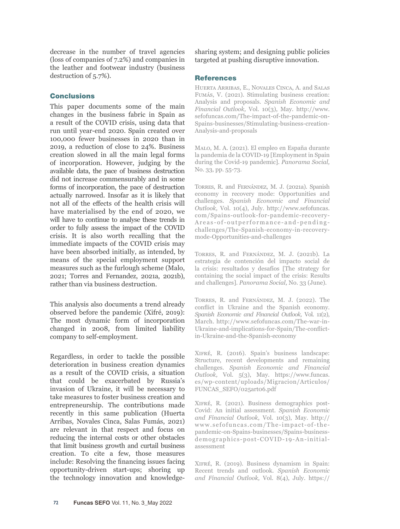decrease in the number of travel agencies (loss of companies of 7.2%) and companies in the leather and footwear industry (business destruction of 5.7%).

## **Conclusions**

This paper documents some of the main changes in the business fabric in Spain as a result of the COVID crisis, using data that run until year-end 2020. Spain created over 100,000 fewer businesses in 2020 than in 2019, a reduction of close to 24%. Business creation slowed in all the main legal forms of incorporation. However, judging by the available data, the pace of business destruction did not increase commensurably and in some forms of incorporation, the pace of destruction actually narrowed. Insofar as it is likely that not all of the effects of the health crisis will have materialised by the end of 2020, we will have to continue to analyse these trends in order to fully assess the impact of the COVID crisis. It is also worth recalling that the immediate impacts of the COVID crisis may have been absorbed initially, as intended, by means of the special employment support measures such as the furlough scheme (Malo, 2021; Torres and Fernandez, 2021a, 2021b), rather than via business destruction.

This analysis also documents a trend already observed before the pandemic (Xifré, 2019): The most dynamic form of incorporation changed in 2008, from limited liability company to self-employment.

Regardless, in order to tackle the possible deterioration in business creation dynamics as a result of the COVID crisis, a situation that could be exacerbated by Russia's invasion of Ukraine, it will be necessary to take measures to foster business creation and entrepreneurship. The contributions made recently in this same publication (Huerta Arribas, Novales Cinca, Salas Fumás, 2021) are relevant in that respect and focus on reducing the internal costs or other obstacles that limit business growth and curtail business creation. To cite a few, those measures include: Resolving the financing issues facing opportunity-driven start-ups; shoring up the technology innovation and knowledgesharing system; and designing public policies targeted at pushing disruptive innovation.

## References

Huerta Arribas, E., Novales Cinca, A. and Salas Fumás, V. (2021). Stimulating business creation: Analysis and proposals. *Spanish Economic and Financial Outlook,* Vol. 10(3), May. [http://www.](http://www.sefofuncas.com/The-impact-of-the-pandemic-on-Spains-businesses/Stimulating-business-creation-Analysis-and-proposals) [sefofuncas.com/The-impact-of-the-pandemic-on-](http://www.sefofuncas.com/The-impact-of-the-pandemic-on-Spains-businesses/Stimulating-business-creation-Analysis-and-proposals)[Spains-businesses/Stimulating-business-creation-](http://www.sefofuncas.com/The-impact-of-the-pandemic-on-Spains-businesses/Stimulating-business-creation-Analysis-and-proposals)[Analysis-and-proposals](http://www.sefofuncas.com/The-impact-of-the-pandemic-on-Spains-businesses/Stimulating-business-creation-Analysis-and-proposals)

Malo, M. A. (2021). El empleo en España durante la pandemia de la COVID-19 [Employment in Spain during the Covid-19 pandemic]. *Panorama Social,*  No. 33, pp. 55-73.

Torres, R. and Fernández, M. J. (2021a). Spanish economy in recovery mode: Opportunities and challenges. *Spanish Economic and Financial Outlook,* Vol. 10(4), July. [http://www.sefofuncas.](http://www.sefofuncas.com/Spains-outlook-for-pandemic-recovery-Areas-of-outperformance-and-pending-challenges/The-Spanish-economy-in-recovery-mode-Opportunities-and-challenges) [com/Spains-outlook-for-pandemic-recovery-](http://www.sefofuncas.com/Spains-outlook-for-pandemic-recovery-Areas-of-outperformance-and-pending-challenges/The-Spanish-economy-in-recovery-mode-Opportunities-and-challenges)[Areas-of-outperformance-and-pending](http://www.sefofuncas.com/Spains-outlook-for-pandemic-recovery-Areas-of-outperformance-and-pending-challenges/The-Spanish-economy-in-recovery-mode-Opportunities-and-challenges)[challenges/The-Spanish-economy-in-recovery](http://www.sefofuncas.com/Spains-outlook-for-pandemic-recovery-Areas-of-outperformance-and-pending-challenges/The-Spanish-economy-in-recovery-mode-Opportunities-and-challenges)[mode-Opportunities-and-challenges](http://www.sefofuncas.com/Spains-outlook-for-pandemic-recovery-Areas-of-outperformance-and-pending-challenges/The-Spanish-economy-in-recovery-mode-Opportunities-and-challenges)

Torres, R. and Fernández, M. J. (2021b). La estrategia de contención del impacto social de la crisis: resultados y desafíos [The strategy for containing the social impact of the crisis: Results and challenges]. *Panorama Social,* No. 33 (June).

Torres, R. and Fernández, M. J. (2022). The conflict in Ukraine and the Spanish economy. *Spanish Economic and Financial Outlook,* Vol. 11(2), March. [http://www.sefofuncas.com/The-war-in-](http://www.sefofuncas.com/The-war-in-Ukraine-and-implications-for-Spain/The-conflict-in-Ukraine-and-the-Spanish-economy)[Ukraine-and-implications-for-Spain/The-conflict](http://www.sefofuncas.com/The-war-in-Ukraine-and-implications-for-Spain/The-conflict-in-Ukraine-and-the-Spanish-economy)[in-Ukraine-and-the-Spanish-economy](http://www.sefofuncas.com/The-war-in-Ukraine-and-implications-for-Spain/The-conflict-in-Ukraine-and-the-Spanish-economy)

Xifré, R. (2016). Spain's business landscape: Structure, recent developments and remaining challenges. *Spanish Economic and Financial Outlook,* Vol. 5(3), May. [https://www.funcas.](https://www.funcas.es/wp-content/uploads/Migracion/Articulos/FUNCAS_SEFO/025art06.pdf) [es/wp-content/uploads/Migracion/Articulos/](https://www.funcas.es/wp-content/uploads/Migracion/Articulos/FUNCAS_SEFO/025art06.pdf) [FUNCAS\\_SEFO/025art06.pdf](https://www.funcas.es/wp-content/uploads/Migracion/Articulos/FUNCAS_SEFO/025art06.pdf)

Xifré, R. (2021). Business demographics post-Covid: An initial assessment. *Spanish Economic and Financial Outlook,* Vol. 10(3), May. [http://](http://www.sefofuncas.com/The-impact-of-the-pandemic-on-Spains-businesses/Spains-business-demographics-post-COVID-19-An-initial-assessment) [www.sefofuncas.com/The-impact-of-the](http://www.sefofuncas.com/The-impact-of-the-pandemic-on-Spains-businesses/Spains-business-demographics-post-COVID-19-An-initial-assessment)[pandemic-on-Spains-businesses/Spains-business](http://www.sefofuncas.com/The-impact-of-the-pandemic-on-Spains-businesses/Spains-business-demographics-post-COVID-19-An-initial-assessment)[demographics-post-COVID-19-An-initial](http://www.sefofuncas.com/The-impact-of-the-pandemic-on-Spains-businesses/Spains-business-demographics-post-COVID-19-An-initial-assessment)[assessment](http://www.sefofuncas.com/The-impact-of-the-pandemic-on-Spains-businesses/Spains-business-demographics-post-COVID-19-An-initial-assessment)

Xifré, R. (2019). Business dynamism in Spain: Recent trends and outlook. *Spanish Economic and Financial Outlook,* Vol. 8(4), July. [https://](https://www.funcas.es/wp-content/uploads/Migracion/Articulos/FUNCAS_SEFO/044art08.pdf)